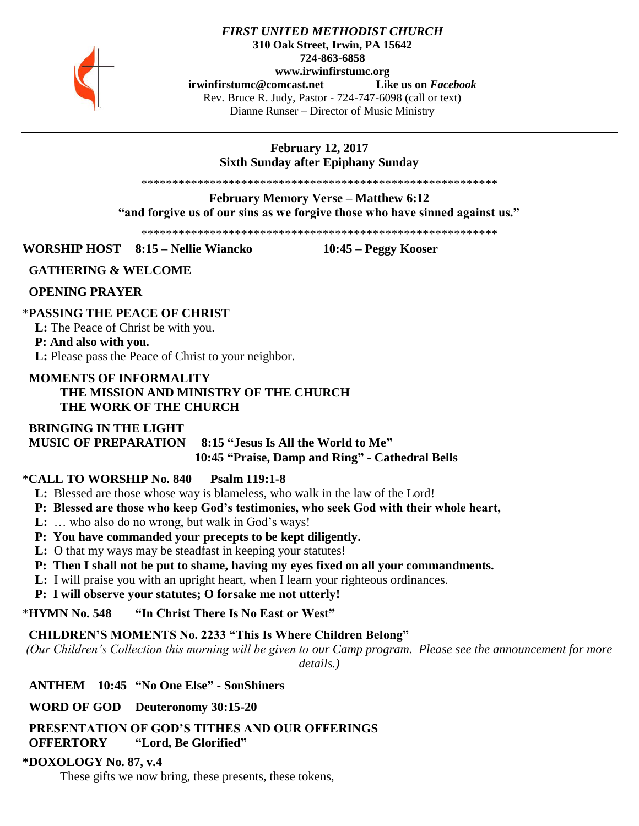

#### *FIRST UNITED METHODIST CHURCH* **310 Oak Street, Irwin, PA 15642 724-863-6858 www.irwinfirstumc.org [irwinfirstumc@comcast.net](mailto:irwinfirstumc@comcast.net) Like us on** *Facebook* Rev. Bruce R. Judy, Pastor - 724-747-6098 (call or text) Dianne Runser – Director of Music Ministry

## **February 12, 2017 Sixth Sunday after Epiphany Sunday**

\*\*\*\*\*\*\*\*\*\*\*\*\*\*\*\*\*\*\*\*\*\*\*\*\*\*\*\*\*\*\*\*\*\*\*\*\*\*\*\*\*\*\*\*\*\*\*\*\*\*\*\*\*\*\*\*\*

**February Memory Verse – Matthew 6:12 "and forgive us of our sins as we forgive those who have sinned against us."**

\*\*\*\*\*\*\*\*\*\*\*\*\*\*\*\*\*\*\*\*\*\*\*\*\*\*\*\*\*\*\*\*\*\*\*\*\*\*\*\*\*\*\*\*\*\*\*\*\*\*\*\*\*\*\*\*\*

**WORSHIP HOST 8:15 – Nellie Wiancko 10:45 – Peggy Kooser**

#### **GATHERING & WELCOME**

### **OPENING PRAYER**

#### \***PASSING THE PEACE OF CHRIST**

 **L:** The Peace of Christ be with you.

 **P: And also with you.**

 **L:** Please pass the Peace of Christ to your neighbor.

## **MOMENTS OF INFORMALITY THE MISSION AND MINISTRY OF THE CHURCH THE WORK OF THE CHURCH**

## **BRINGING IN THE LIGHT MUSIC OF PREPARATION 8:15 "Jesus Is All the World to Me" 10:45 "Praise, Damp and Ring" - Cathedral Bells**

## \***CALL TO WORSHIP No. 840 Psalm 119:1-8**

 **L:** Blessed are those whose way is blameless, who walk in the law of the Lord!

- **P: Blessed are those who keep God's testimonies, who seek God with their whole heart,**
- **L:** … who also do no wrong, but walk in God's ways!
- **P: You have commanded your precepts to be kept diligently.**
- **L:** O that my ways may be steadfast in keeping your statutes!
- **P: Then I shall not be put to shame, having my eyes fixed on all your commandments.**
- **L:** I will praise you with an upright heart, when I learn your righteous ordinances.

# **P: I will observe your statutes; O forsake me not utterly!**

\***HYMN No. 548 "In Christ There Is No East or West"**

#### **CHILDREN'S MOMENTS No. 2233 "This Is Where Children Belong"**

*(Our Children's Collection this morning will be given to our Camp program. Please see the announcement for more details.)*

 **ANTHEM 10:45 "No One Else" - SonShiners**

#### **WORD OF GOD Deuteronomy 30:15-20**

#### **PRESENTATION OF GOD'S TITHES AND OUR OFFERINGS OFFERTORY "Lord, Be Glorified"**

# **\*DOXOLOGY No. 87, v.4**

These gifts we now bring, these presents, these tokens,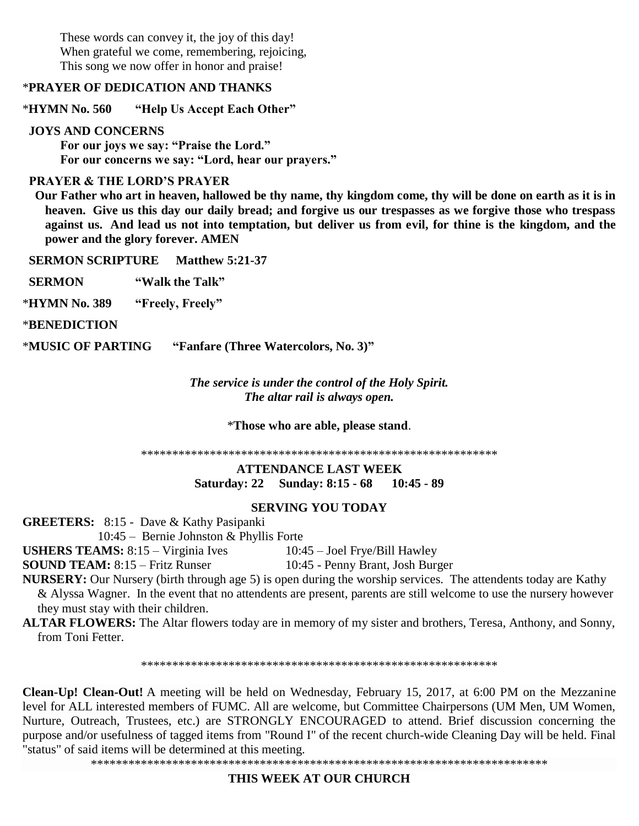These words can convey it, the joy of this day! When grateful we come, remembering, rejoicing, This song we now offer in honor and praise!

## \***PRAYER OF DEDICATION AND THANKS**

\***HYMN No. 560 "Help Us Accept Each Other"**

#### **JOYS AND CONCERNS**

**For our joys we say: "Praise the Lord." For our concerns we say: "Lord, hear our prayers."**

#### **PRAYER & THE LORD'S PRAYER**

 **Our Father who art in heaven, hallowed be thy name, thy kingdom come, thy will be done on earth as it is in heaven. Give us this day our daily bread; and forgive us our trespasses as we forgive those who trespass against us. And lead us not into temptation, but deliver us from evil, for thine is the kingdom, and the power and the glory forever. AMEN**

 **SERMON SCRIPTURE Matthew 5:21-37**

**SERMON** "Walk the Talk"

\***HYMN No. 389 "Freely, Freely"**

\***BENEDICTION** 

\***MUSIC OF PARTING "Fanfare (Three Watercolors, No. 3)"**

*The service is under the control of the Holy Spirit. The altar rail is always open.*

\***Those who are able, please stand**.

\*\*\*\*\*\*\*\*\*\*\*\*\*\*\*\*\*\*\*\*\*\*\*\*\*\*\*\*\*\*\*\*\*\*\*\*\*\*\*\*\*\*\*\*\*\*\*\*\*\*\*\*\*\*\*\*\*

**ATTENDANCE LAST WEEK Saturday: 22 Sunday: 8:15 - 68 10:45 - 89**

# **SERVING YOU TODAY**

**GREETERS:** 8:15 - Dave & Kathy Pasipanki

10:45 – Bernie Johnston & Phyllis Forte

**USHERS TEAMS:** 8:15 – Virginia Ives 10:45 – Joel Frye/Bill Hawley

**SOUND TEAM:** 8:15 – Fritz Runser 10:45 - Penny Brant, Josh Burger

**NURSERY:** Our Nursery (birth through age 5) is open during the worship services. The attendents today are Kathy & Alyssa Wagner. In the event that no attendents are present, parents are still welcome to use the nursery however they must stay with their children.

**ALTAR FLOWERS:** The Altar flowers today are in memory of my sister and brothers, Teresa, Anthony, and Sonny, from Toni Fetter.

\*\*\*\*\*\*\*\*\*\*\*\*\*\*\*\*\*\*\*\*\*\*\*\*\*\*\*\*\*\*\*\*\*\*\*\*\*\*\*\*\*\*\*\*\*\*\*\*\*\*\*\*\*\*\*\*\*

**Clean-Up! Clean-Out!** A meeting will be held on Wednesday, February 15, 2017, at 6:00 PM on the Mezzanine level for ALL interested members of FUMC. All are welcome, but Committee Chairpersons (UM Men, UM Women, Nurture, Outreach, Trustees, etc.) are STRONGLY ENCOURAGED to attend. Brief discussion concerning the purpose and/or usefulness of tagged items from "Round I" of the recent church-wide Cleaning Day will be held. Final "status" of said items will be determined at this meeting.

\*\*\*\*\*\*\*\*\*\*\*\*\*\*\*\*\*\*\*\*\*\*\*\*\*\*\*\*\*\*\*\*\*\*\*\*\*\*\*\*\*\*\*\*\*\*\*\*\*\*\*\*\*\*\*\*\*\*\*\*\*\*\*\*\*\*\*\*\*\*\*\*\*

**THIS WEEK AT OUR CHURCH**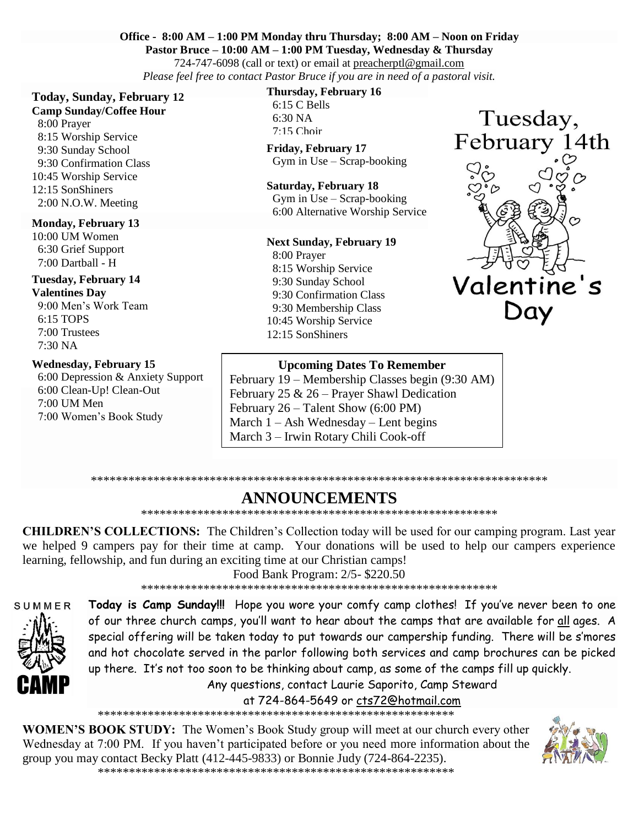## **Office - 8:00 AM – 1:00 PM Monday thru Thursday; 8:00 AM – Noon on Friday**

**Pastor Bruce – 10:00 AM – 1:00 PM Tuesday, Wednesday & Thursday**

724-747-6098 (call or text) or email at [preacherptl@gmail.com](mailto:preacherptl@gmail.com) *Please feel free to contact Pastor Bruce if you are in need of a pastoral visit.*

#### **Today, Sunday, February 12 Camp Sunday/Coffee Hour**

 8:00 Prayer 8:15 Worship Service 9:30 Sunday School 9:30 Confirmation Class 10:45 Worship Service 12:15 SonShiners 2:00 N.O.W. Meeting

## **Monday, February 13**

10:00 UM Women 6:30 Grief Support 7:00 Dartball - H

#### **Tuesday, February 14 Valentines Day**

 9:00 Men's Work Team 6:15 TOPS 7:00 Trustees 7:30 NA

# **Wednesday, February 15**

 6:00 Depression & Anxiety Support 6:00 Clean-Up! Clean-Out 7:00 UM Men 7:00 Women's Book Study

## **Thursday, February 16**

 6:15 C Bells 6:30 NA 7:15 Choir

**Friday, February 17** Gym in Use – Scrap-booking

# **Saturday, February 18**

 Gym in Use – Scrap-booking 6:00 Alternative Worship Service

#### **Next Sunday, February 19**

 8:00 Prayer 8:15 Worship Service 9:30 Sunday School 9:30 Confirmation Class 9:30 Membership Class 10:45 Worship Service 12:15 SonShiners



# **Upcoming Dates To Remember**

February 19 – Membership Classes begin (9:30 AM) February 25  $& 26$  – Prayer Shawl Dedication February 26 – Talent Show (6:00 PM) March  $1 -$  Ash Wednesday – Lent begins March 3 – Irwin Rotary Chili Cook-off

#### \*\*\*\*\*\*\*\*\*\*\*\*\*\*\*\*\*\*\*\*\*\*\*\*\*\*\*\*\*\*\*\*\*\*\*\*\*\*\*\*\*\*\*\*\*\*\*\*\*\*\*\*\*\*\*\*\*\*\*\*\*\*\*\*\*\*\*\*\*\*\*\*\*

# **ANNOUNCEMENTS**

\*\*\*\*\*\*\*\*\*\*\*\*\*\*\*\*\*\*\*\*\*\*\*\*\*\*\*\*\*\*\*\*\*\*\*\*\*\*\*\*\*\*\*\*\*\*\*\*\*\*\*\*\*\*\*\*\*

**CHILDREN'S COLLECTIONS:** The Children's Collection today will be used for our camping program. Last year we helped 9 campers pay for their time at camp. Your donations will be used to help our campers experience learning, fellowship, and fun during an exciting time at our Christian camps!

Food Bank Program: 2/5- \$220.50

\*\*\*\*\*\*\*\*\*\*\*\*\*\*\*\*\*\*\*\*\*\*\*\*\*\*\*\*\*\*\*\*\*\*\*\*\*\*\*\*\*\*\*\*\*\*\*\*\*\*\*\*\*\*\*\*\*



**Today is Camp Sunday!!!** Hope you wore your comfy camp clothes! If you've never been to one of our three church camps, you'll want to hear about the camps that are available for all ages. A special offering will be taken today to put towards our campership funding. There will be s'mores and hot chocolate served in the parlor following both services and camp brochures can be picked up there. It's not too soon to be thinking about camp, as some of the camps fill up quickly.

Any questions, contact Laurie Saporito, Camp Steward

at 724-864-5649 or [cts72@hotmail.com](javascript:window.top.ZmObjectManager.__doClickObject(document.getElementById(%22OBJ_PREFIX_DWT3409_com_zimbra_email%22));)

\*\*\*\*\*\*\*\*\*\*\*\*\*\*\*\*\*\*\*\*\*\*\*\*\*\*\*\*\*\*\*\*\*\*\*\*\*\*\*\*\*\*\*\*\*\*\*\*\*\*\*\*\*\*\*\*\*

**WOMEN'S BOOK STUDY:** The Women's Book Study group will meet at our church every other Wednesday at 7:00 PM. If you haven't participated before or you need more information about the group you may contact Becky Platt (412-445-9833) or Bonnie Judy (724-864-2235).



\*\*\*\*\*\*\*\*\*\*\*\*\*\*\*\*\*\*\*\*\*\*\*\*\*\*\*\*\*\*\*\*\*\*\*\*\*\*\*\*\*\*\*\*\*\*\*\*\*\*\*\*\*\*\*\*\*